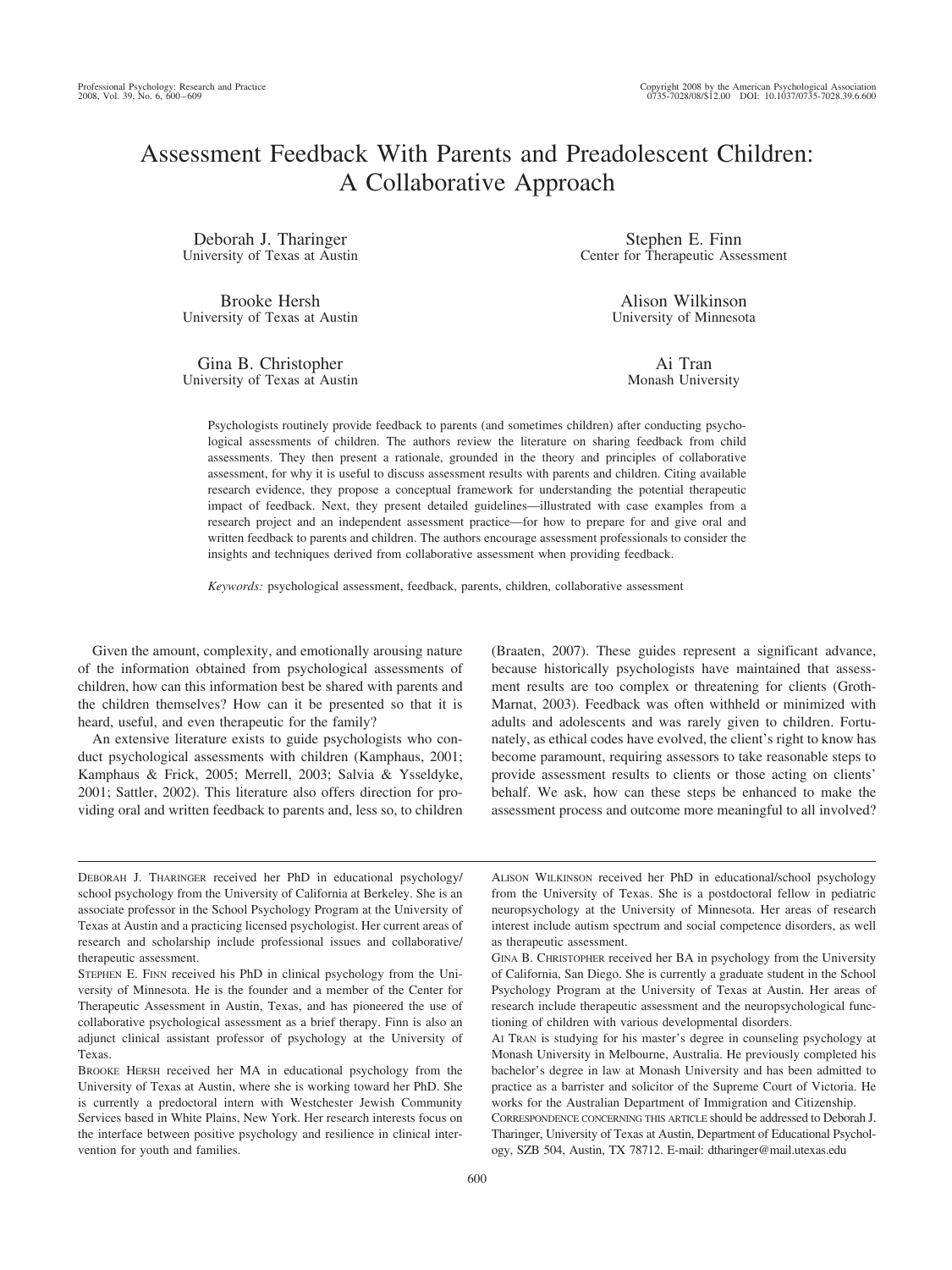# Assessment Feedback With Parents and Preadolescent Children: A Collaborative Approach

Deborah J. Tharinger University of Texas at Austin

Brooke Hersh University of Texas at Austin

Gina B. Christopher University of Texas at Austin

Stephen E. Finn Center for Therapeutic Assessment

> Alison Wilkinson University of Minnesota

Ai Tran Monash University

Psychologists routinely provide feedback to parents (and sometimes children) after conducting psychological assessments of children. The authors review the literature on sharing feedback from child assessments. They then present a rationale, grounded in the theory and principles of collaborative assessment, for why it is useful to discuss assessment results with parents and children. Citing available research evidence, they propose a conceptual framework for understanding the potential therapeutic impact of feedback. Next, they present detailed guidelines—illustrated with case examples from a research project and an independent assessment practice—for how to prepare for and give oral and written feedback to parents and children. The authors encourage assessment professionals to consider the insights and techniques derived from collaborative assessment when providing feedback.

*Keywords:* psychological assessment, feedback, parents, children, collaborative assessment

Given the amount, complexity, and emotionally arousing nature of the information obtained from psychological assessments of children, how can this information best be shared with parents and the children themselves? How can it be presented so that it is heard, useful, and even therapeutic for the family?

An extensive literature exists to guide psychologists who conduct psychological assessments with children (Kamphaus, 2001; Kamphaus & Frick, 2005; Merrell, 2003; Salvia & Ysseldyke, 2001; Sattler, 2002). This literature also offers direction for providing oral and written feedback to parents and, less so, to children (Braaten, 2007). These guides represent a significant advance, because historically psychologists have maintained that assessment results are too complex or threatening for clients (Groth-Marnat, 2003). Feedback was often withheld or minimized with adults and adolescents and was rarely given to children. Fortunately, as ethical codes have evolved, the client's right to know has become paramount, requiring assessors to take reasonable steps to provide assessment results to clients or those acting on clients' behalf. We ask, how can these steps be enhanced to make the assessment process and outcome more meaningful to all involved?

DEBORAH J. THARINGER received her PhD in educational psychology/ school psychology from the University of California at Berkeley. She is an associate professor in the School Psychology Program at the University of Texas at Austin and a practicing licensed psychologist. Her current areas of research and scholarship include professional issues and collaborative/ therapeutic assessment.

STEPHEN E. FINN received his PhD in clinical psychology from the University of Minnesota. He is the founder and a member of the Center for Therapeutic Assessment in Austin, Texas, and has pioneered the use of collaborative psychological assessment as a brief therapy. Finn is also an adjunct clinical assistant professor of psychology at the University of Texas.

BROOKE HERSH received her MA in educational psychology from the University of Texas at Austin, where she is working toward her PhD. She is currently a predoctoral intern with Westchester Jewish Community Services based in White Plains, New York. Her research interests focus on the interface between positive psychology and resilience in clinical intervention for youth and families.

600

ALISON WILKINSON received her PhD in educational/school psychology from the University of Texas. She is a postdoctoral fellow in pediatric neuropsychology at the University of Minnesota. Her areas of research interest include autism spectrum and social competence disorders, as well as therapeutic assessment.

GINA B. CHRISTOPHER received her BA in psychology from the University of California, San Diego. She is currently a graduate student in the School Psychology Program at the University of Texas at Austin. Her areas of research include therapeutic assessment and the neuropsychological functioning of children with various developmental disorders.

AI TRAN is studying for his master's degree in counseling psychology at Monash University in Melbourne, Australia. He previously completed his bachelor's degree in law at Monash University and has been admitted to practice as a barrister and solicitor of the Supreme Court of Victoria. He works for the Australian Department of Immigration and Citizenship. CORRESPONDENCE CONCERNING THIS ARTICLE should be addressed to Deborah J. Tharinger, University of Texas at Austin, Department of Educational Psychology, SZB 504, Austin, TX 78712. E-mail: dtharinger@mail.utexas.edu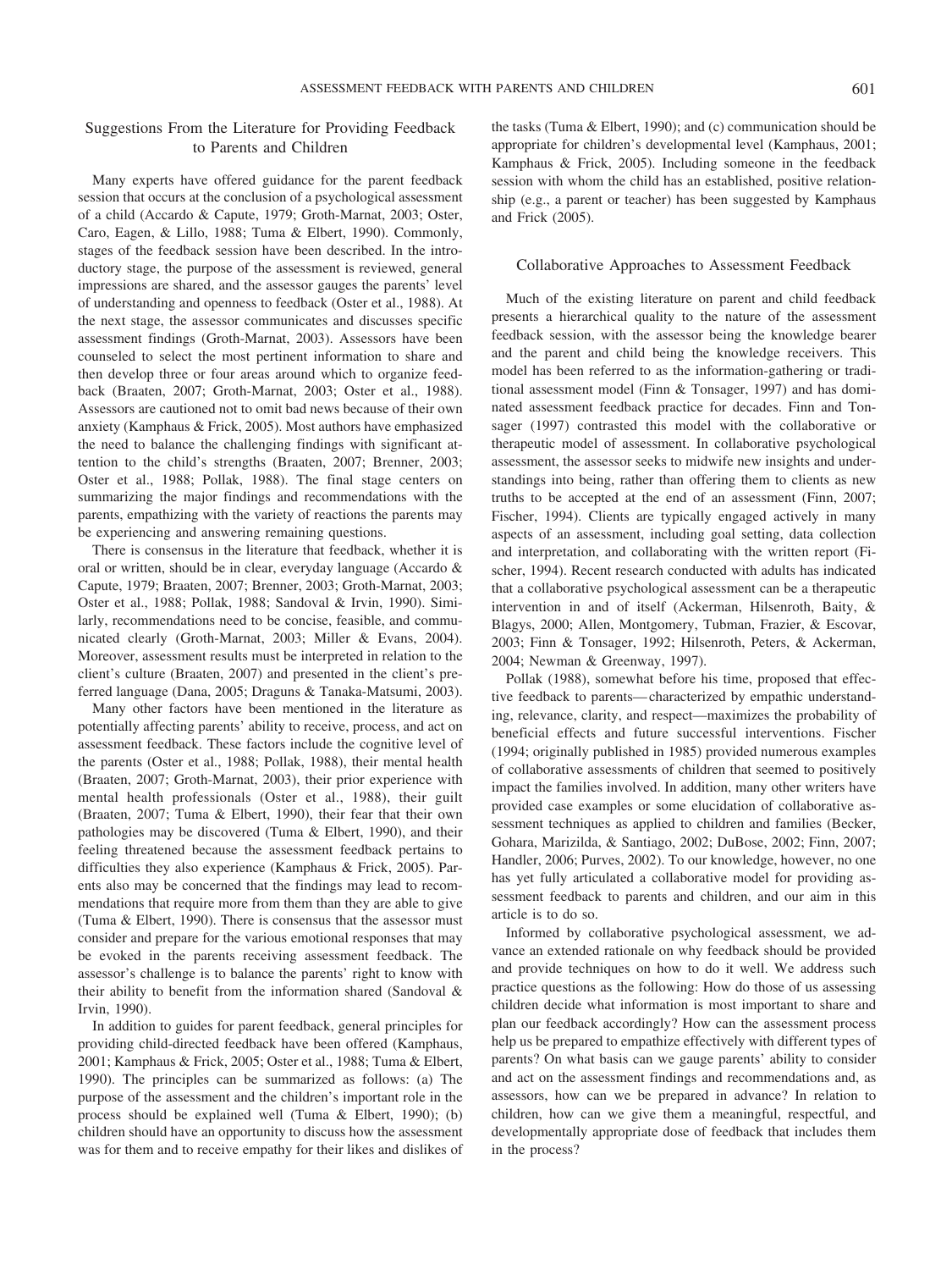# Suggestions From the Literature for Providing Feedback to Parents and Children

Many experts have offered guidance for the parent feedback session that occurs at the conclusion of a psychological assessment of a child (Accardo & Capute, 1979; Groth-Marnat, 2003; Oster, Caro, Eagen, & Lillo, 1988; Tuma & Elbert, 1990). Commonly, stages of the feedback session have been described. In the introductory stage, the purpose of the assessment is reviewed, general impressions are shared, and the assessor gauges the parents' level of understanding and openness to feedback (Oster et al., 1988). At the next stage, the assessor communicates and discusses specific assessment findings (Groth-Marnat, 2003). Assessors have been counseled to select the most pertinent information to share and then develop three or four areas around which to organize feedback (Braaten, 2007; Groth-Marnat, 2003; Oster et al., 1988). Assessors are cautioned not to omit bad news because of their own anxiety (Kamphaus & Frick, 2005). Most authors have emphasized the need to balance the challenging findings with significant attention to the child's strengths (Braaten, 2007; Brenner, 2003; Oster et al., 1988; Pollak, 1988). The final stage centers on summarizing the major findings and recommendations with the parents, empathizing with the variety of reactions the parents may be experiencing and answering remaining questions.

There is consensus in the literature that feedback, whether it is oral or written, should be in clear, everyday language (Accardo & Capute, 1979; Braaten, 2007; Brenner, 2003; Groth-Marnat, 2003; Oster et al., 1988; Pollak, 1988; Sandoval & Irvin, 1990). Similarly, recommendations need to be concise, feasible, and communicated clearly (Groth-Marnat, 2003; Miller & Evans, 2004). Moreover, assessment results must be interpreted in relation to the client's culture (Braaten, 2007) and presented in the client's preferred language (Dana, 2005; Draguns & Tanaka-Matsumi, 2003).

Many other factors have been mentioned in the literature as potentially affecting parents' ability to receive, process, and act on assessment feedback. These factors include the cognitive level of the parents (Oster et al., 1988; Pollak, 1988), their mental health (Braaten, 2007; Groth-Marnat, 2003), their prior experience with mental health professionals (Oster et al., 1988), their guilt (Braaten, 2007; Tuma & Elbert, 1990), their fear that their own pathologies may be discovered (Tuma & Elbert, 1990), and their feeling threatened because the assessment feedback pertains to difficulties they also experience (Kamphaus & Frick, 2005). Parents also may be concerned that the findings may lead to recommendations that require more from them than they are able to give (Tuma & Elbert, 1990). There is consensus that the assessor must consider and prepare for the various emotional responses that may be evoked in the parents receiving assessment feedback. The assessor's challenge is to balance the parents' right to know with their ability to benefit from the information shared (Sandoval & Irvin, 1990).

In addition to guides for parent feedback, general principles for providing child-directed feedback have been offered (Kamphaus, 2001; Kamphaus & Frick, 2005; Oster et al., 1988; Tuma & Elbert, 1990). The principles can be summarized as follows: (a) The purpose of the assessment and the children's important role in the process should be explained well (Tuma & Elbert, 1990); (b) children should have an opportunity to discuss how the assessment was for them and to receive empathy for their likes and dislikes of the tasks (Tuma & Elbert, 1990); and (c) communication should be appropriate for children's developmental level (Kamphaus, 2001; Kamphaus & Frick, 2005). Including someone in the feedback session with whom the child has an established, positive relationship (e.g., a parent or teacher) has been suggested by Kamphaus and Frick (2005).

#### Collaborative Approaches to Assessment Feedback

Much of the existing literature on parent and child feedback presents a hierarchical quality to the nature of the assessment feedback session, with the assessor being the knowledge bearer and the parent and child being the knowledge receivers. This model has been referred to as the information-gathering or traditional assessment model (Finn & Tonsager, 1997) and has dominated assessment feedback practice for decades. Finn and Tonsager (1997) contrasted this model with the collaborative or therapeutic model of assessment. In collaborative psychological assessment, the assessor seeks to midwife new insights and understandings into being, rather than offering them to clients as new truths to be accepted at the end of an assessment (Finn, 2007; Fischer, 1994). Clients are typically engaged actively in many aspects of an assessment, including goal setting, data collection and interpretation, and collaborating with the written report (Fischer, 1994). Recent research conducted with adults has indicated that a collaborative psychological assessment can be a therapeutic intervention in and of itself (Ackerman, Hilsenroth, Baity, & Blagys, 2000; Allen, Montgomery, Tubman, Frazier, & Escovar, 2003; Finn & Tonsager, 1992; Hilsenroth, Peters, & Ackerman, 2004; Newman & Greenway, 1997).

Pollak (1988), somewhat before his time, proposed that effective feedback to parents— characterized by empathic understanding, relevance, clarity, and respect—maximizes the probability of beneficial effects and future successful interventions. Fischer (1994; originally published in 1985) provided numerous examples of collaborative assessments of children that seemed to positively impact the families involved. In addition, many other writers have provided case examples or some elucidation of collaborative assessment techniques as applied to children and families (Becker, Gohara, Marizilda, & Santiago, 2002; DuBose, 2002; Finn, 2007; Handler, 2006; Purves, 2002). To our knowledge, however, no one has yet fully articulated a collaborative model for providing assessment feedback to parents and children, and our aim in this article is to do so.

Informed by collaborative psychological assessment, we advance an extended rationale on why feedback should be provided and provide techniques on how to do it well. We address such practice questions as the following: How do those of us assessing children decide what information is most important to share and plan our feedback accordingly? How can the assessment process help us be prepared to empathize effectively with different types of parents? On what basis can we gauge parents' ability to consider and act on the assessment findings and recommendations and, as assessors, how can we be prepared in advance? In relation to children, how can we give them a meaningful, respectful, and developmentally appropriate dose of feedback that includes them in the process?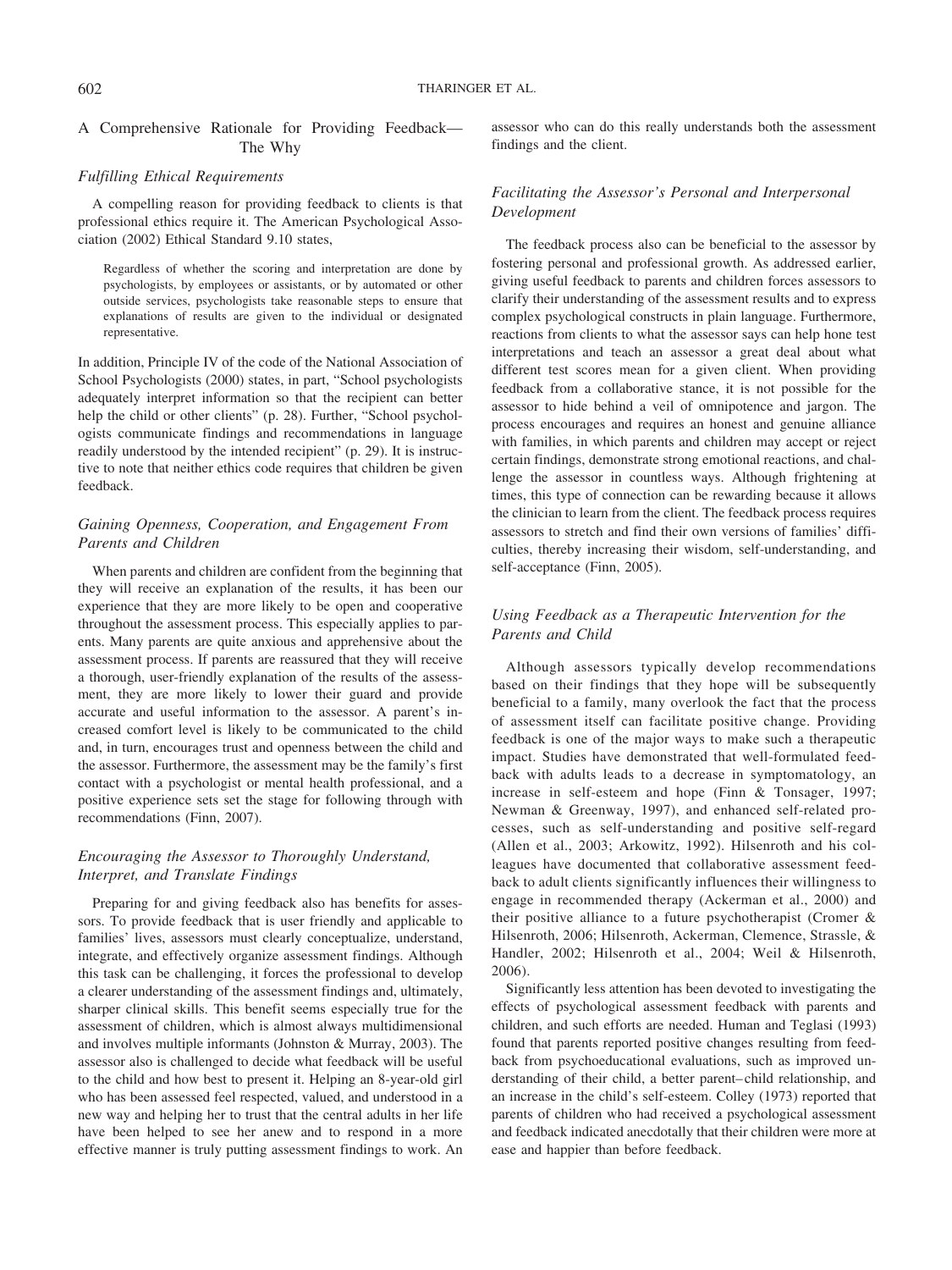A Comprehensive Rationale for Providing Feedback— The Why

# *Fulfilling Ethical Requirements*

A compelling reason for providing feedback to clients is that professional ethics require it. The American Psychological Association (2002) Ethical Standard 9.10 states,

Regardless of whether the scoring and interpretation are done by psychologists, by employees or assistants, or by automated or other outside services, psychologists take reasonable steps to ensure that explanations of results are given to the individual or designated representative.

In addition, Principle IV of the code of the National Association of School Psychologists (2000) states, in part, "School psychologists adequately interpret information so that the recipient can better help the child or other clients" (p. 28). Further, "School psychologists communicate findings and recommendations in language readily understood by the intended recipient" (p. 29). It is instructive to note that neither ethics code requires that children be given feedback.

# *Gaining Openness, Cooperation, and Engagement From Parents and Children*

When parents and children are confident from the beginning that they will receive an explanation of the results, it has been our experience that they are more likely to be open and cooperative throughout the assessment process. This especially applies to parents. Many parents are quite anxious and apprehensive about the assessment process. If parents are reassured that they will receive a thorough, user-friendly explanation of the results of the assessment, they are more likely to lower their guard and provide accurate and useful information to the assessor. A parent's increased comfort level is likely to be communicated to the child and, in turn, encourages trust and openness between the child and the assessor. Furthermore, the assessment may be the family's first contact with a psychologist or mental health professional, and a positive experience sets set the stage for following through with recommendations (Finn, 2007).

# *Encouraging the Assessor to Thoroughly Understand, Interpret, and Translate Findings*

Preparing for and giving feedback also has benefits for assessors. To provide feedback that is user friendly and applicable to families' lives, assessors must clearly conceptualize, understand, integrate, and effectively organize assessment findings. Although this task can be challenging, it forces the professional to develop a clearer understanding of the assessment findings and, ultimately, sharper clinical skills. This benefit seems especially true for the assessment of children, which is almost always multidimensional and involves multiple informants (Johnston & Murray, 2003). The assessor also is challenged to decide what feedback will be useful to the child and how best to present it. Helping an 8-year-old girl who has been assessed feel respected, valued, and understood in a new way and helping her to trust that the central adults in her life have been helped to see her anew and to respond in a more effective manner is truly putting assessment findings to work. An assessor who can do this really understands both the assessment findings and the client.

# *Facilitating the Assessor's Personal and Interpersonal Development*

The feedback process also can be beneficial to the assessor by fostering personal and professional growth. As addressed earlier, giving useful feedback to parents and children forces assessors to clarify their understanding of the assessment results and to express complex psychological constructs in plain language. Furthermore, reactions from clients to what the assessor says can help hone test interpretations and teach an assessor a great deal about what different test scores mean for a given client. When providing feedback from a collaborative stance, it is not possible for the assessor to hide behind a veil of omnipotence and jargon. The process encourages and requires an honest and genuine alliance with families, in which parents and children may accept or reject certain findings, demonstrate strong emotional reactions, and challenge the assessor in countless ways. Although frightening at times, this type of connection can be rewarding because it allows the clinician to learn from the client. The feedback process requires assessors to stretch and find their own versions of families' difficulties, thereby increasing their wisdom, self-understanding, and self-acceptance (Finn, 2005).

# *Using Feedback as a Therapeutic Intervention for the Parents and Child*

Although assessors typically develop recommendations based on their findings that they hope will be subsequently beneficial to a family, many overlook the fact that the process of assessment itself can facilitate positive change. Providing feedback is one of the major ways to make such a therapeutic impact. Studies have demonstrated that well-formulated feedback with adults leads to a decrease in symptomatology, an increase in self-esteem and hope (Finn & Tonsager, 1997; Newman & Greenway, 1997), and enhanced self-related processes, such as self-understanding and positive self-regard (Allen et al., 2003; Arkowitz, 1992). Hilsenroth and his colleagues have documented that collaborative assessment feedback to adult clients significantly influences their willingness to engage in recommended therapy (Ackerman et al., 2000) and their positive alliance to a future psychotherapist (Cromer & Hilsenroth, 2006; Hilsenroth, Ackerman, Clemence, Strassle, & Handler, 2002; Hilsenroth et al., 2004; Weil & Hilsenroth, 2006).

Significantly less attention has been devoted to investigating the effects of psychological assessment feedback with parents and children, and such efforts are needed. Human and Teglasi (1993) found that parents reported positive changes resulting from feedback from psychoeducational evaluations, such as improved understanding of their child, a better parent– child relationship, and an increase in the child's self-esteem. Colley (1973) reported that parents of children who had received a psychological assessment and feedback indicated anecdotally that their children were more at ease and happier than before feedback.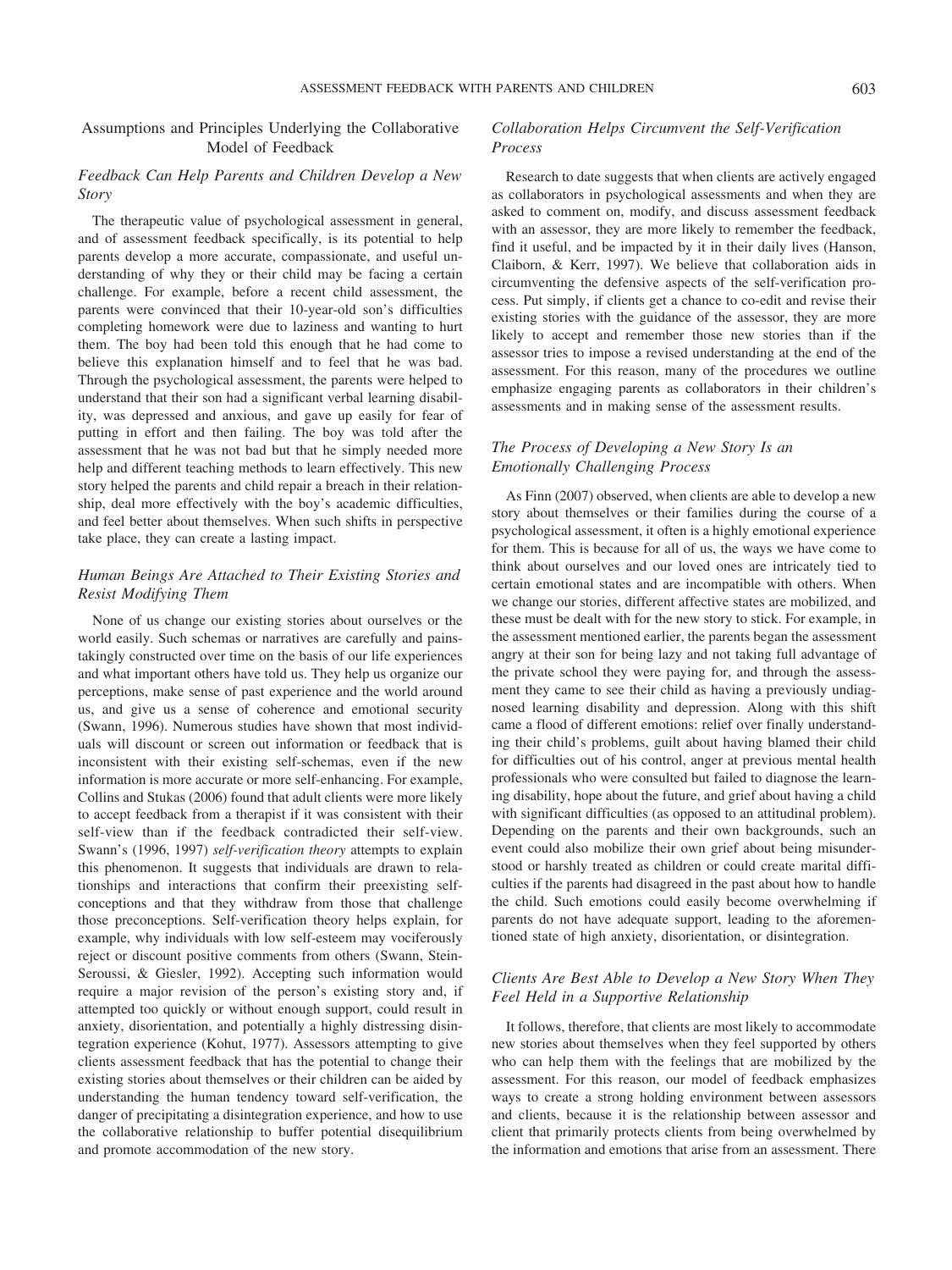# Assumptions and Principles Underlying the Collaborative Model of Feedback

# *Feedback Can Help Parents and Children Develop a New Story*

The therapeutic value of psychological assessment in general, and of assessment feedback specifically, is its potential to help parents develop a more accurate, compassionate, and useful understanding of why they or their child may be facing a certain challenge. For example, before a recent child assessment, the parents were convinced that their 10-year-old son's difficulties completing homework were due to laziness and wanting to hurt them. The boy had been told this enough that he had come to believe this explanation himself and to feel that he was bad. Through the psychological assessment, the parents were helped to understand that their son had a significant verbal learning disability, was depressed and anxious, and gave up easily for fear of putting in effort and then failing. The boy was told after the assessment that he was not bad but that he simply needed more help and different teaching methods to learn effectively. This new story helped the parents and child repair a breach in their relationship, deal more effectively with the boy's academic difficulties, and feel better about themselves. When such shifts in perspective take place, they can create a lasting impact.

#### *Human Beings Are Attached to Their Existing Stories and Resist Modifying Them*

None of us change our existing stories about ourselves or the world easily. Such schemas or narratives are carefully and painstakingly constructed over time on the basis of our life experiences and what important others have told us. They help us organize our perceptions, make sense of past experience and the world around us, and give us a sense of coherence and emotional security (Swann, 1996). Numerous studies have shown that most individuals will discount or screen out information or feedback that is inconsistent with their existing self-schemas, even if the new information is more accurate or more self-enhancing. For example, Collins and Stukas (2006) found that adult clients were more likely to accept feedback from a therapist if it was consistent with their self-view than if the feedback contradicted their self-view. Swann's (1996, 1997) *self-verification theory* attempts to explain this phenomenon. It suggests that individuals are drawn to relationships and interactions that confirm their preexisting selfconceptions and that they withdraw from those that challenge those preconceptions. Self-verification theory helps explain, for example, why individuals with low self-esteem may vociferously reject or discount positive comments from others (Swann, Stein-Seroussi, & Giesler, 1992). Accepting such information would require a major revision of the person's existing story and, if attempted too quickly or without enough support, could result in anxiety, disorientation, and potentially a highly distressing disintegration experience (Kohut, 1977). Assessors attempting to give clients assessment feedback that has the potential to change their existing stories about themselves or their children can be aided by understanding the human tendency toward self-verification, the danger of precipitating a disintegration experience, and how to use the collaborative relationship to buffer potential disequilibrium and promote accommodation of the new story.

# *Collaboration Helps Circumvent the Self-Verification Process*

Research to date suggests that when clients are actively engaged as collaborators in psychological assessments and when they are asked to comment on, modify, and discuss assessment feedback with an assessor, they are more likely to remember the feedback, find it useful, and be impacted by it in their daily lives (Hanson, Claiborn, & Kerr, 1997). We believe that collaboration aids in circumventing the defensive aspects of the self-verification process. Put simply, if clients get a chance to co-edit and revise their existing stories with the guidance of the assessor, they are more likely to accept and remember those new stories than if the assessor tries to impose a revised understanding at the end of the assessment. For this reason, many of the procedures we outline emphasize engaging parents as collaborators in their children's assessments and in making sense of the assessment results.

# *The Process of Developing a New Story Is an Emotionally Challenging Process*

As Finn (2007) observed, when clients are able to develop a new story about themselves or their families during the course of a psychological assessment, it often is a highly emotional experience for them. This is because for all of us, the ways we have come to think about ourselves and our loved ones are intricately tied to certain emotional states and are incompatible with others. When we change our stories, different affective states are mobilized, and these must be dealt with for the new story to stick. For example, in the assessment mentioned earlier, the parents began the assessment angry at their son for being lazy and not taking full advantage of the private school they were paying for, and through the assessment they came to see their child as having a previously undiagnosed learning disability and depression. Along with this shift came a flood of different emotions: relief over finally understanding their child's problems, guilt about having blamed their child for difficulties out of his control, anger at previous mental health professionals who were consulted but failed to diagnose the learning disability, hope about the future, and grief about having a child with significant difficulties (as opposed to an attitudinal problem). Depending on the parents and their own backgrounds, such an event could also mobilize their own grief about being misunderstood or harshly treated as children or could create marital difficulties if the parents had disagreed in the past about how to handle the child. Such emotions could easily become overwhelming if parents do not have adequate support, leading to the aforementioned state of high anxiety, disorientation, or disintegration.

# *Clients Are Best Able to Develop a New Story When They Feel Held in a Supportive Relationship*

It follows, therefore, that clients are most likely to accommodate new stories about themselves when they feel supported by others who can help them with the feelings that are mobilized by the assessment. For this reason, our model of feedback emphasizes ways to create a strong holding environment between assessors and clients, because it is the relationship between assessor and client that primarily protects clients from being overwhelmed by the information and emotions that arise from an assessment. There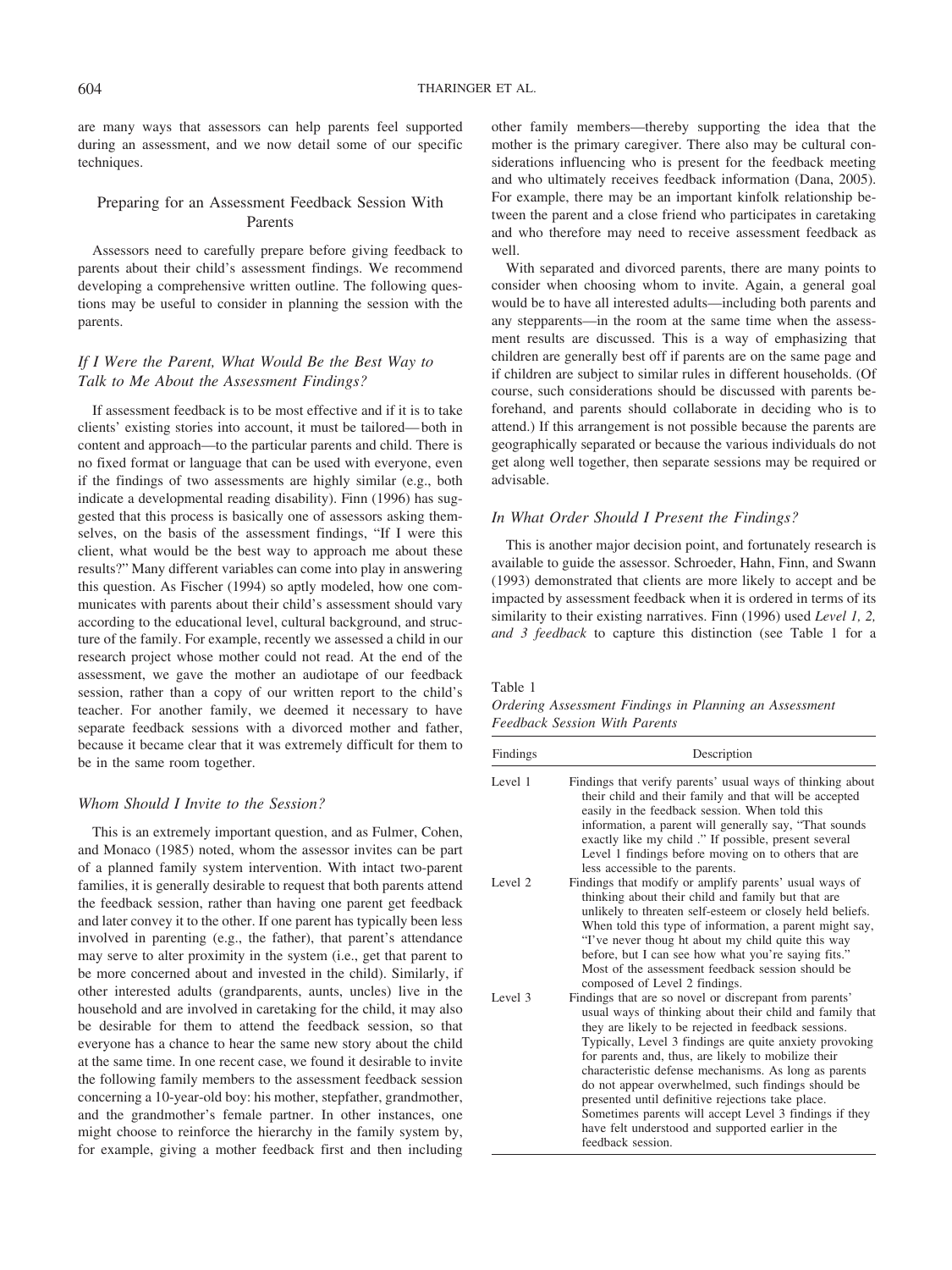are many ways that assessors can help parents feel supported during an assessment, and we now detail some of our specific techniques.

# Preparing for an Assessment Feedback Session With Parents

Assessors need to carefully prepare before giving feedback to parents about their child's assessment findings. We recommend developing a comprehensive written outline. The following questions may be useful to consider in planning the session with the parents.

# *If I Were the Parent, What Would Be the Best Way to Talk to Me About the Assessment Findings?*

If assessment feedback is to be most effective and if it is to take clients' existing stories into account, it must be tailored— both in content and approach—to the particular parents and child. There is no fixed format or language that can be used with everyone, even if the findings of two assessments are highly similar (e.g., both indicate a developmental reading disability). Finn (1996) has suggested that this process is basically one of assessors asking themselves, on the basis of the assessment findings, "If I were this client, what would be the best way to approach me about these results?" Many different variables can come into play in answering this question. As Fischer (1994) so aptly modeled, how one communicates with parents about their child's assessment should vary according to the educational level, cultural background, and structure of the family. For example, recently we assessed a child in our research project whose mother could not read. At the end of the assessment, we gave the mother an audiotape of our feedback session, rather than a copy of our written report to the child's teacher. For another family, we deemed it necessary to have separate feedback sessions with a divorced mother and father, because it became clear that it was extremely difficult for them to be in the same room together.

#### *Whom Should I Invite to the Session?*

This is an extremely important question, and as Fulmer, Cohen, and Monaco (1985) noted, whom the assessor invites can be part of a planned family system intervention. With intact two-parent families, it is generally desirable to request that both parents attend the feedback session, rather than having one parent get feedback and later convey it to the other. If one parent has typically been less involved in parenting (e.g., the father), that parent's attendance may serve to alter proximity in the system (i.e., get that parent to be more concerned about and invested in the child). Similarly, if other interested adults (grandparents, aunts, uncles) live in the household and are involved in caretaking for the child, it may also be desirable for them to attend the feedback session, so that everyone has a chance to hear the same new story about the child at the same time. In one recent case, we found it desirable to invite the following family members to the assessment feedback session concerning a 10-year-old boy: his mother, stepfather, grandmother, and the grandmother's female partner. In other instances, one might choose to reinforce the hierarchy in the family system by, for example, giving a mother feedback first and then including other family members—thereby supporting the idea that the mother is the primary caregiver. There also may be cultural considerations influencing who is present for the feedback meeting and who ultimately receives feedback information (Dana, 2005). For example, there may be an important kinfolk relationship between the parent and a close friend who participates in caretaking and who therefore may need to receive assessment feedback as well.

With separated and divorced parents, there are many points to consider when choosing whom to invite. Again, a general goal would be to have all interested adults—including both parents and any stepparents—in the room at the same time when the assessment results are discussed. This is a way of emphasizing that children are generally best off if parents are on the same page and if children are subject to similar rules in different households. (Of course, such considerations should be discussed with parents beforehand, and parents should collaborate in deciding who is to attend.) If this arrangement is not possible because the parents are geographically separated or because the various individuals do not get along well together, then separate sessions may be required or advisable.

#### *In What Order Should I Present the Findings?*

This is another major decision point, and fortunately research is available to guide the assessor. Schroeder, Hahn, Finn, and Swann (1993) demonstrated that clients are more likely to accept and be impacted by assessment feedback when it is ordered in terms of its similarity to their existing narratives. Finn (1996) used *Level 1, 2, and 3 feedback* to capture this distinction (see Table 1 for a

# Table 1

| Ordering Assessment Findings in Planning an Assessment |  |
|--------------------------------------------------------|--|
| <b>Feedback Session With Parents</b>                   |  |

| Findings | Description                                                                                                                                                                                                                                                                                                                                                                                                                                                                                                                                                                                          |
|----------|------------------------------------------------------------------------------------------------------------------------------------------------------------------------------------------------------------------------------------------------------------------------------------------------------------------------------------------------------------------------------------------------------------------------------------------------------------------------------------------------------------------------------------------------------------------------------------------------------|
| Level 1  | Findings that verify parents' usual ways of thinking about<br>their child and their family and that will be accepted<br>easily in the feedback session. When told this<br>information, a parent will generally say, "That sounds"<br>exactly like my child ." If possible, present several<br>Level 1 findings before moving on to others that are<br>less accessible to the parents.                                                                                                                                                                                                                |
| Level 2  | Findings that modify or amplify parents' usual ways of<br>thinking about their child and family but that are<br>unlikely to threaten self-esteem or closely held beliefs.<br>When told this type of information, a parent might say,<br>"I've never thoug ht about my child quite this way<br>before, but I can see how what you're saying fits."<br>Most of the assessment feedback session should be<br>composed of Level 2 findings.                                                                                                                                                              |
| Level 3  | Findings that are so novel or discrepant from parents'<br>usual ways of thinking about their child and family that<br>they are likely to be rejected in feedback sessions.<br>Typically, Level 3 findings are quite anxiety provoking<br>for parents and, thus, are likely to mobilize their<br>characteristic defense mechanisms. As long as parents<br>do not appear overwhelmed, such findings should be<br>presented until definitive rejections take place.<br>Sometimes parents will accept Level 3 findings if they<br>have felt understood and supported earlier in the<br>feedback session. |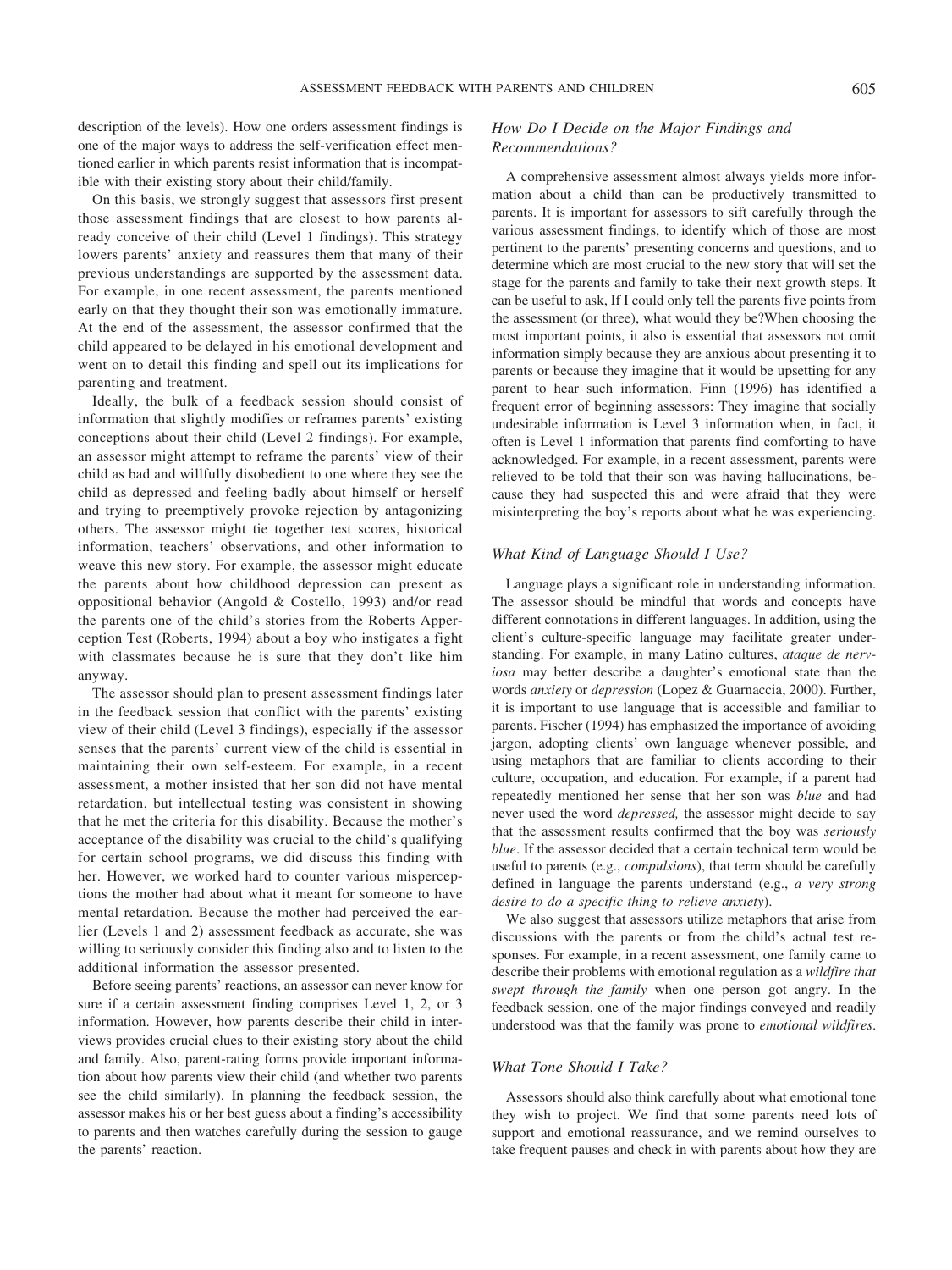description of the levels). How one orders assessment findings is one of the major ways to address the self-verification effect mentioned earlier in which parents resist information that is incompatible with their existing story about their child/family.

On this basis, we strongly suggest that assessors first present those assessment findings that are closest to how parents already conceive of their child (Level 1 findings). This strategy lowers parents' anxiety and reassures them that many of their previous understandings are supported by the assessment data. For example, in one recent assessment, the parents mentioned early on that they thought their son was emotionally immature. At the end of the assessment, the assessor confirmed that the child appeared to be delayed in his emotional development and went on to detail this finding and spell out its implications for parenting and treatment.

Ideally, the bulk of a feedback session should consist of information that slightly modifies or reframes parents' existing conceptions about their child (Level 2 findings). For example, an assessor might attempt to reframe the parents' view of their child as bad and willfully disobedient to one where they see the child as depressed and feeling badly about himself or herself and trying to preemptively provoke rejection by antagonizing others. The assessor might tie together test scores, historical information, teachers' observations, and other information to weave this new story. For example, the assessor might educate the parents about how childhood depression can present as oppositional behavior (Angold & Costello, 1993) and/or read the parents one of the child's stories from the Roberts Apperception Test (Roberts, 1994) about a boy who instigates a fight with classmates because he is sure that they don't like him anyway.

The assessor should plan to present assessment findings later in the feedback session that conflict with the parents' existing view of their child (Level 3 findings), especially if the assessor senses that the parents' current view of the child is essential in maintaining their own self-esteem. For example, in a recent assessment, a mother insisted that her son did not have mental retardation, but intellectual testing was consistent in showing that he met the criteria for this disability. Because the mother's acceptance of the disability was crucial to the child's qualifying for certain school programs, we did discuss this finding with her. However, we worked hard to counter various misperceptions the mother had about what it meant for someone to have mental retardation. Because the mother had perceived the earlier (Levels 1 and 2) assessment feedback as accurate, she was willing to seriously consider this finding also and to listen to the additional information the assessor presented.

Before seeing parents' reactions, an assessor can never know for sure if a certain assessment finding comprises Level 1, 2, or 3 information. However, how parents describe their child in interviews provides crucial clues to their existing story about the child and family. Also, parent-rating forms provide important information about how parents view their child (and whether two parents see the child similarly). In planning the feedback session, the assessor makes his or her best guess about a finding's accessibility to parents and then watches carefully during the session to gauge the parents' reaction.

#### *How Do I Decide on the Major Findings and Recommendations?*

A comprehensive assessment almost always yields more information about a child than can be productively transmitted to parents. It is important for assessors to sift carefully through the various assessment findings, to identify which of those are most pertinent to the parents' presenting concerns and questions, and to determine which are most crucial to the new story that will set the stage for the parents and family to take their next growth steps. It can be useful to ask, If I could only tell the parents five points from the assessment (or three), what would they be?When choosing the most important points, it also is essential that assessors not omit information simply because they are anxious about presenting it to parents or because they imagine that it would be upsetting for any parent to hear such information. Finn (1996) has identified a frequent error of beginning assessors: They imagine that socially undesirable information is Level 3 information when, in fact, it often is Level 1 information that parents find comforting to have acknowledged. For example, in a recent assessment, parents were relieved to be told that their son was having hallucinations, because they had suspected this and were afraid that they were misinterpreting the boy's reports about what he was experiencing.

#### *What Kind of Language Should I Use?*

Language plays a significant role in understanding information. The assessor should be mindful that words and concepts have different connotations in different languages. In addition, using the client's culture-specific language may facilitate greater understanding. For example, in many Latino cultures, *ataque de nerviosa* may better describe a daughter's emotional state than the words *anxiety* or *depression* (Lopez & Guarnaccia, 2000). Further, it is important to use language that is accessible and familiar to parents. Fischer (1994) has emphasized the importance of avoiding jargon, adopting clients' own language whenever possible, and using metaphors that are familiar to clients according to their culture, occupation, and education. For example, if a parent had repeatedly mentioned her sense that her son was *blue* and had never used the word *depressed,* the assessor might decide to say that the assessment results confirmed that the boy was *seriously blue*. If the assessor decided that a certain technical term would be useful to parents (e.g., *compulsions*), that term should be carefully defined in language the parents understand (e.g., *a very strong desire to do a specific thing to relieve anxiety*).

We also suggest that assessors utilize metaphors that arise from discussions with the parents or from the child's actual test responses. For example, in a recent assessment, one family came to describe their problems with emotional regulation as a *wildfire that swept through the family* when one person got angry. In the feedback session, one of the major findings conveyed and readily understood was that the family was prone to *emotional wildfires*.

## *What Tone Should I Take?*

Assessors should also think carefully about what emotional tone they wish to project. We find that some parents need lots of support and emotional reassurance, and we remind ourselves to take frequent pauses and check in with parents about how they are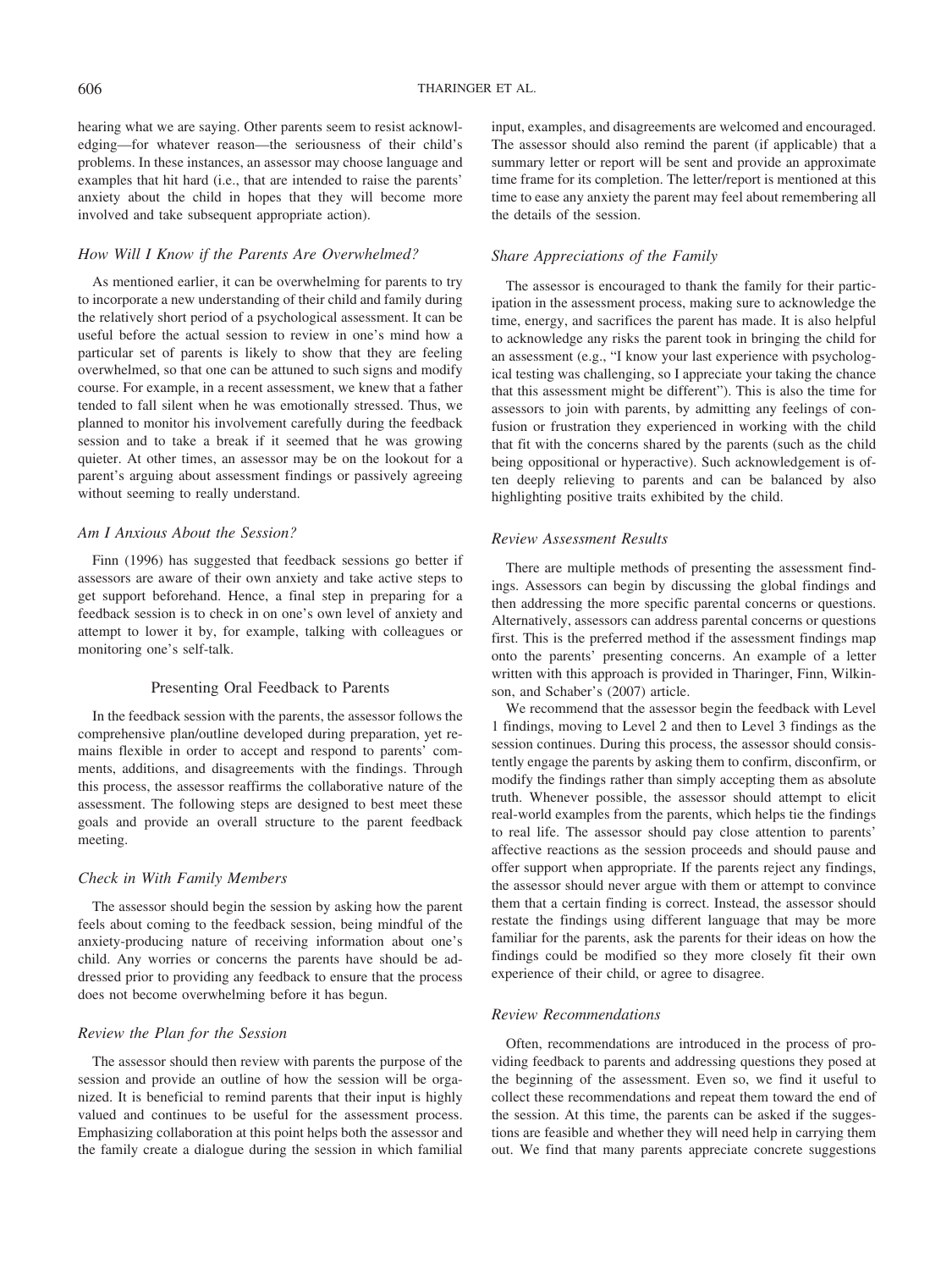hearing what we are saying. Other parents seem to resist acknowledging—for whatever reason—the seriousness of their child's problems. In these instances, an assessor may choose language and examples that hit hard (i.e., that are intended to raise the parents' anxiety about the child in hopes that they will become more involved and take subsequent appropriate action).

# *How Will I Know if the Parents Are Overwhelmed?*

As mentioned earlier, it can be overwhelming for parents to try to incorporate a new understanding of their child and family during the relatively short period of a psychological assessment. It can be useful before the actual session to review in one's mind how a particular set of parents is likely to show that they are feeling overwhelmed, so that one can be attuned to such signs and modify course. For example, in a recent assessment, we knew that a father tended to fall silent when he was emotionally stressed. Thus, we planned to monitor his involvement carefully during the feedback session and to take a break if it seemed that he was growing quieter. At other times, an assessor may be on the lookout for a parent's arguing about assessment findings or passively agreeing without seeming to really understand.

#### *Am I Anxious About the Session?*

Finn (1996) has suggested that feedback sessions go better if assessors are aware of their own anxiety and take active steps to get support beforehand. Hence, a final step in preparing for a feedback session is to check in on one's own level of anxiety and attempt to lower it by, for example, talking with colleagues or monitoring one's self-talk.

#### Presenting Oral Feedback to Parents

In the feedback session with the parents, the assessor follows the comprehensive plan/outline developed during preparation, yet remains flexible in order to accept and respond to parents' comments, additions, and disagreements with the findings. Through this process, the assessor reaffirms the collaborative nature of the assessment. The following steps are designed to best meet these goals and provide an overall structure to the parent feedback meeting.

#### *Check in With Family Members*

The assessor should begin the session by asking how the parent feels about coming to the feedback session, being mindful of the anxiety-producing nature of receiving information about one's child. Any worries or concerns the parents have should be addressed prior to providing any feedback to ensure that the process does not become overwhelming before it has begun.

#### *Review the Plan for the Session*

The assessor should then review with parents the purpose of the session and provide an outline of how the session will be organized. It is beneficial to remind parents that their input is highly valued and continues to be useful for the assessment process. Emphasizing collaboration at this point helps both the assessor and the family create a dialogue during the session in which familial input, examples, and disagreements are welcomed and encouraged. The assessor should also remind the parent (if applicable) that a summary letter or report will be sent and provide an approximate time frame for its completion. The letter/report is mentioned at this time to ease any anxiety the parent may feel about remembering all the details of the session.

#### *Share Appreciations of the Family*

The assessor is encouraged to thank the family for their participation in the assessment process, making sure to acknowledge the time, energy, and sacrifices the parent has made. It is also helpful to acknowledge any risks the parent took in bringing the child for an assessment (e.g., "I know your last experience with psychological testing was challenging, so I appreciate your taking the chance that this assessment might be different"). This is also the time for assessors to join with parents, by admitting any feelings of confusion or frustration they experienced in working with the child that fit with the concerns shared by the parents (such as the child being oppositional or hyperactive). Such acknowledgement is often deeply relieving to parents and can be balanced by also highlighting positive traits exhibited by the child.

#### *Review Assessment Results*

There are multiple methods of presenting the assessment findings. Assessors can begin by discussing the global findings and then addressing the more specific parental concerns or questions. Alternatively, assessors can address parental concerns or questions first. This is the preferred method if the assessment findings map onto the parents' presenting concerns. An example of a letter written with this approach is provided in Tharinger, Finn, Wilkinson, and Schaber's (2007) article.

We recommend that the assessor begin the feedback with Level 1 findings, moving to Level 2 and then to Level 3 findings as the session continues. During this process, the assessor should consistently engage the parents by asking them to confirm, disconfirm, or modify the findings rather than simply accepting them as absolute truth. Whenever possible, the assessor should attempt to elicit real-world examples from the parents, which helps tie the findings to real life. The assessor should pay close attention to parents' affective reactions as the session proceeds and should pause and offer support when appropriate. If the parents reject any findings, the assessor should never argue with them or attempt to convince them that a certain finding is correct. Instead, the assessor should restate the findings using different language that may be more familiar for the parents, ask the parents for their ideas on how the findings could be modified so they more closely fit their own experience of their child, or agree to disagree.

#### *Review Recommendations*

Often, recommendations are introduced in the process of providing feedback to parents and addressing questions they posed at the beginning of the assessment. Even so, we find it useful to collect these recommendations and repeat them toward the end of the session. At this time, the parents can be asked if the suggestions are feasible and whether they will need help in carrying them out. We find that many parents appreciate concrete suggestions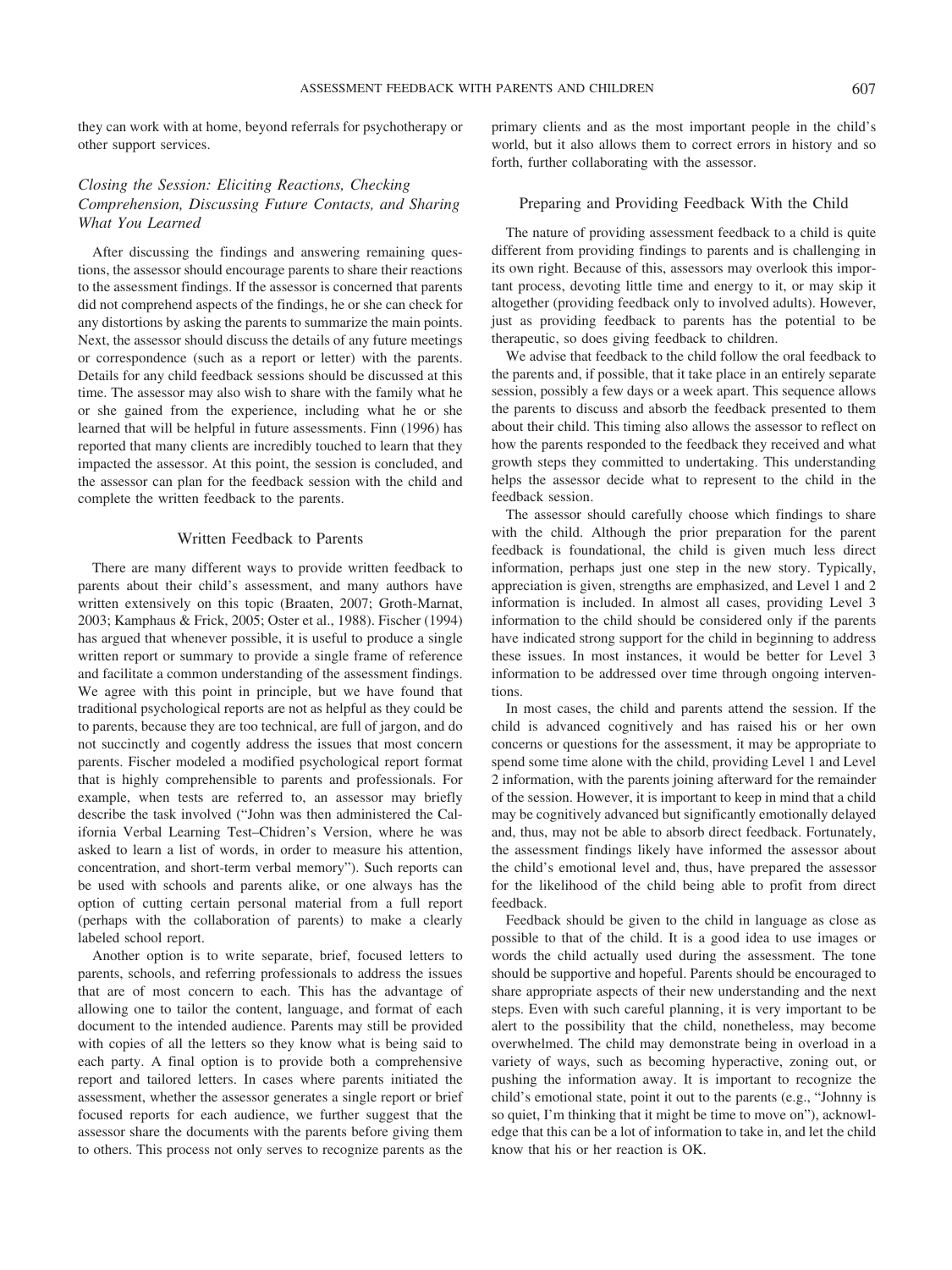they can work with at home, beyond referrals for psychotherapy or other support services.

# *Closing the Session: Eliciting Reactions, Checking Comprehension, Discussing Future Contacts, and Sharing What You Learned*

After discussing the findings and answering remaining questions, the assessor should encourage parents to share their reactions to the assessment findings. If the assessor is concerned that parents did not comprehend aspects of the findings, he or she can check for any distortions by asking the parents to summarize the main points. Next, the assessor should discuss the details of any future meetings or correspondence (such as a report or letter) with the parents. Details for any child feedback sessions should be discussed at this time. The assessor may also wish to share with the family what he or she gained from the experience, including what he or she learned that will be helpful in future assessments. Finn (1996) has reported that many clients are incredibly touched to learn that they impacted the assessor. At this point, the session is concluded, and the assessor can plan for the feedback session with the child and complete the written feedback to the parents.

#### Written Feedback to Parents

There are many different ways to provide written feedback to parents about their child's assessment, and many authors have written extensively on this topic (Braaten, 2007; Groth-Marnat, 2003; Kamphaus & Frick, 2005; Oster et al., 1988). Fischer (1994) has argued that whenever possible, it is useful to produce a single written report or summary to provide a single frame of reference and facilitate a common understanding of the assessment findings. We agree with this point in principle, but we have found that traditional psychological reports are not as helpful as they could be to parents, because they are too technical, are full of jargon, and do not succinctly and cogently address the issues that most concern parents. Fischer modeled a modified psychological report format that is highly comprehensible to parents and professionals. For example, when tests are referred to, an assessor may briefly describe the task involved ("John was then administered the California Verbal Learning Test–Chidren's Version, where he was asked to learn a list of words, in order to measure his attention, concentration, and short-term verbal memory"). Such reports can be used with schools and parents alike, or one always has the option of cutting certain personal material from a full report (perhaps with the collaboration of parents) to make a clearly labeled school report.

Another option is to write separate, brief, focused letters to parents, schools, and referring professionals to address the issues that are of most concern to each. This has the advantage of allowing one to tailor the content, language, and format of each document to the intended audience. Parents may still be provided with copies of all the letters so they know what is being said to each party. A final option is to provide both a comprehensive report and tailored letters. In cases where parents initiated the assessment, whether the assessor generates a single report or brief focused reports for each audience, we further suggest that the assessor share the documents with the parents before giving them to others. This process not only serves to recognize parents as the

primary clients and as the most important people in the child's world, but it also allows them to correct errors in history and so forth, further collaborating with the assessor.

#### Preparing and Providing Feedback With the Child

The nature of providing assessment feedback to a child is quite different from providing findings to parents and is challenging in its own right. Because of this, assessors may overlook this important process, devoting little time and energy to it, or may skip it altogether (providing feedback only to involved adults). However, just as providing feedback to parents has the potential to be therapeutic, so does giving feedback to children.

We advise that feedback to the child follow the oral feedback to the parents and, if possible, that it take place in an entirely separate session, possibly a few days or a week apart. This sequence allows the parents to discuss and absorb the feedback presented to them about their child. This timing also allows the assessor to reflect on how the parents responded to the feedback they received and what growth steps they committed to undertaking. This understanding helps the assessor decide what to represent to the child in the feedback session.

The assessor should carefully choose which findings to share with the child. Although the prior preparation for the parent feedback is foundational, the child is given much less direct information, perhaps just one step in the new story. Typically, appreciation is given, strengths are emphasized, and Level 1 and 2 information is included. In almost all cases, providing Level 3 information to the child should be considered only if the parents have indicated strong support for the child in beginning to address these issues. In most instances, it would be better for Level 3 information to be addressed over time through ongoing interventions.

In most cases, the child and parents attend the session. If the child is advanced cognitively and has raised his or her own concerns or questions for the assessment, it may be appropriate to spend some time alone with the child, providing Level 1 and Level 2 information, with the parents joining afterward for the remainder of the session. However, it is important to keep in mind that a child may be cognitively advanced but significantly emotionally delayed and, thus, may not be able to absorb direct feedback. Fortunately, the assessment findings likely have informed the assessor about the child's emotional level and, thus, have prepared the assessor for the likelihood of the child being able to profit from direct feedback.

Feedback should be given to the child in language as close as possible to that of the child. It is a good idea to use images or words the child actually used during the assessment. The tone should be supportive and hopeful. Parents should be encouraged to share appropriate aspects of their new understanding and the next steps. Even with such careful planning, it is very important to be alert to the possibility that the child, nonetheless, may become overwhelmed. The child may demonstrate being in overload in a variety of ways, such as becoming hyperactive, zoning out, or pushing the information away. It is important to recognize the child's emotional state, point it out to the parents (e.g., "Johnny is so quiet, I'm thinking that it might be time to move on"), acknowledge that this can be a lot of information to take in, and let the child know that his or her reaction is OK.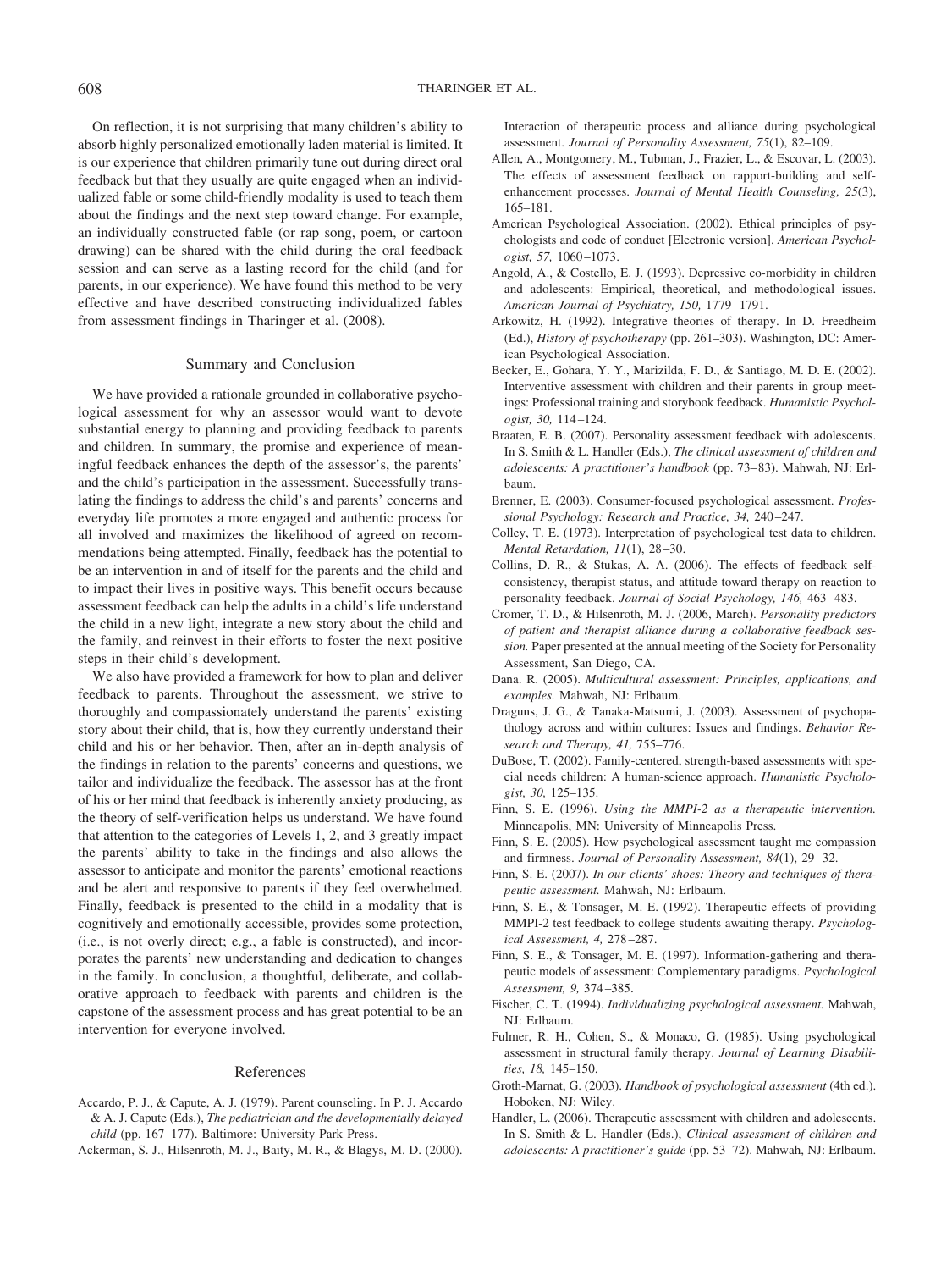On reflection, it is not surprising that many children's ability to absorb highly personalized emotionally laden material is limited. It is our experience that children primarily tune out during direct oral feedback but that they usually are quite engaged when an individualized fable or some child-friendly modality is used to teach them about the findings and the next step toward change. For example, an individually constructed fable (or rap song, poem, or cartoon drawing) can be shared with the child during the oral feedback session and can serve as a lasting record for the child (and for parents, in our experience). We have found this method to be very effective and have described constructing individualized fables from assessment findings in Tharinger et al. (2008).

#### Summary and Conclusion

We have provided a rationale grounded in collaborative psychological assessment for why an assessor would want to devote substantial energy to planning and providing feedback to parents and children. In summary, the promise and experience of meaningful feedback enhances the depth of the assessor's, the parents' and the child's participation in the assessment. Successfully translating the findings to address the child's and parents' concerns and everyday life promotes a more engaged and authentic process for all involved and maximizes the likelihood of agreed on recommendations being attempted. Finally, feedback has the potential to be an intervention in and of itself for the parents and the child and to impact their lives in positive ways. This benefit occurs because assessment feedback can help the adults in a child's life understand the child in a new light, integrate a new story about the child and the family, and reinvest in their efforts to foster the next positive steps in their child's development.

We also have provided a framework for how to plan and deliver feedback to parents. Throughout the assessment, we strive to thoroughly and compassionately understand the parents' existing story about their child, that is, how they currently understand their child and his or her behavior. Then, after an in-depth analysis of the findings in relation to the parents' concerns and questions, we tailor and individualize the feedback. The assessor has at the front of his or her mind that feedback is inherently anxiety producing, as the theory of self-verification helps us understand. We have found that attention to the categories of Levels 1, 2, and 3 greatly impact the parents' ability to take in the findings and also allows the assessor to anticipate and monitor the parents' emotional reactions and be alert and responsive to parents if they feel overwhelmed. Finally, feedback is presented to the child in a modality that is cognitively and emotionally accessible, provides some protection, (i.e., is not overly direct; e.g., a fable is constructed), and incorporates the parents' new understanding and dedication to changes in the family. In conclusion, a thoughtful, deliberate, and collaborative approach to feedback with parents and children is the capstone of the assessment process and has great potential to be an intervention for everyone involved.

#### References

- Accardo, P. J., & Capute, A. J. (1979). Parent counseling. In P. J. Accardo & A. J. Capute (Eds.), *The pediatrician and the developmentally delayed child* (pp. 167–177). Baltimore: University Park Press.
- Ackerman, S. J., Hilsenroth, M. J., Baity, M. R., & Blagys, M. D. (2000).

Interaction of therapeutic process and alliance during psychological assessment. *Journal of Personality Assessment, 75*(1), 82–109.

- Allen, A., Montgomery, M., Tubman, J., Frazier, L., & Escovar, L. (2003). The effects of assessment feedback on rapport-building and selfenhancement processes. *Journal of Mental Health Counseling, 25*(3), 165–181.
- American Psychological Association. (2002). Ethical principles of psychologists and code of conduct [Electronic version]. *American Psychologist, 57,* 1060 –1073.
- Angold, A., & Costello, E. J. (1993). Depressive co-morbidity in children and adolescents: Empirical, theoretical, and methodological issues. *American Journal of Psychiatry, 150,* 1779 –1791.
- Arkowitz, H. (1992). Integrative theories of therapy. In D. Freedheim (Ed.), *History of psychotherapy* (pp. 261–303). Washington, DC: American Psychological Association.
- Becker, E., Gohara, Y. Y., Marizilda, F. D., & Santiago, M. D. E. (2002). Interventive assessment with children and their parents in group meetings: Professional training and storybook feedback. *Humanistic Psychologist, 30,* 114 –124.
- Braaten, E. B. (2007). Personality assessment feedback with adolescents. In S. Smith & L. Handler (Eds.), *The clinical assessment of children and adolescents: A practitioner's handbook* (pp. 73– 83). Mahwah, NJ: Erlbaum.
- Brenner, E. (2003). Consumer-focused psychological assessment. *Professional Psychology: Research and Practice, 34,* 240 –247.
- Colley, T. E. (1973). Interpretation of psychological test data to children. *Mental Retardation, 11*(1), 28 –30.
- Collins, D. R., & Stukas, A. A. (2006). The effects of feedback selfconsistency, therapist status, and attitude toward therapy on reaction to personality feedback. *Journal of Social Psychology, 146,* 463– 483.
- Cromer, T. D., & Hilsenroth, M. J. (2006, March). *Personality predictors of patient and therapist alliance during a collaborative feedback session.* Paper presented at the annual meeting of the Society for Personality Assessment, San Diego, CA.
- Dana. R. (2005). *Multicultural assessment: Principles, applications, and examples.* Mahwah, NJ: Erlbaum.
- Draguns, J. G., & Tanaka-Matsumi, J. (2003). Assessment of psychopathology across and within cultures: Issues and findings. *Behavior Research and Therapy, 41,* 755–776.
- DuBose, T. (2002). Family-centered, strength-based assessments with special needs children: A human-science approach. *Humanistic Psychologist, 30,* 125–135.
- Finn, S. E. (1996). *Using the MMPI-2 as a therapeutic intervention.* Minneapolis, MN: University of Minneapolis Press.
- Finn, S. E. (2005). How psychological assessment taught me compassion and firmness. *Journal of Personality Assessment, 84*(1), 29 –32.
- Finn, S. E. (2007). *In our clients' shoes: Theory and techniques of therapeutic assessment.* Mahwah, NJ: Erlbaum.
- Finn, S. E., & Tonsager, M. E. (1992). Therapeutic effects of providing MMPI-2 test feedback to college students awaiting therapy. *Psychological Assessment, 4,* 278 –287.
- Finn, S. E., & Tonsager, M. E. (1997). Information-gathering and therapeutic models of assessment: Complementary paradigms. *Psychological Assessment, 9,* 374 –385.
- Fischer, C. T. (1994). *Individualizing psychological assessment.* Mahwah, NJ: Erlbaum.
- Fulmer, R. H., Cohen, S., & Monaco, G. (1985). Using psychological assessment in structural family therapy. *Journal of Learning Disabilities, 18,* 145–150.
- Groth-Marnat, G. (2003). *Handbook of psychological assessment* (4th ed.). Hoboken, NJ: Wiley.
- Handler, L. (2006). Therapeutic assessment with children and adolescents. In S. Smith & L. Handler (Eds.), *Clinical assessment of children and adolescents: A practitioner's guide* (pp. 53–72). Mahwah, NJ: Erlbaum.